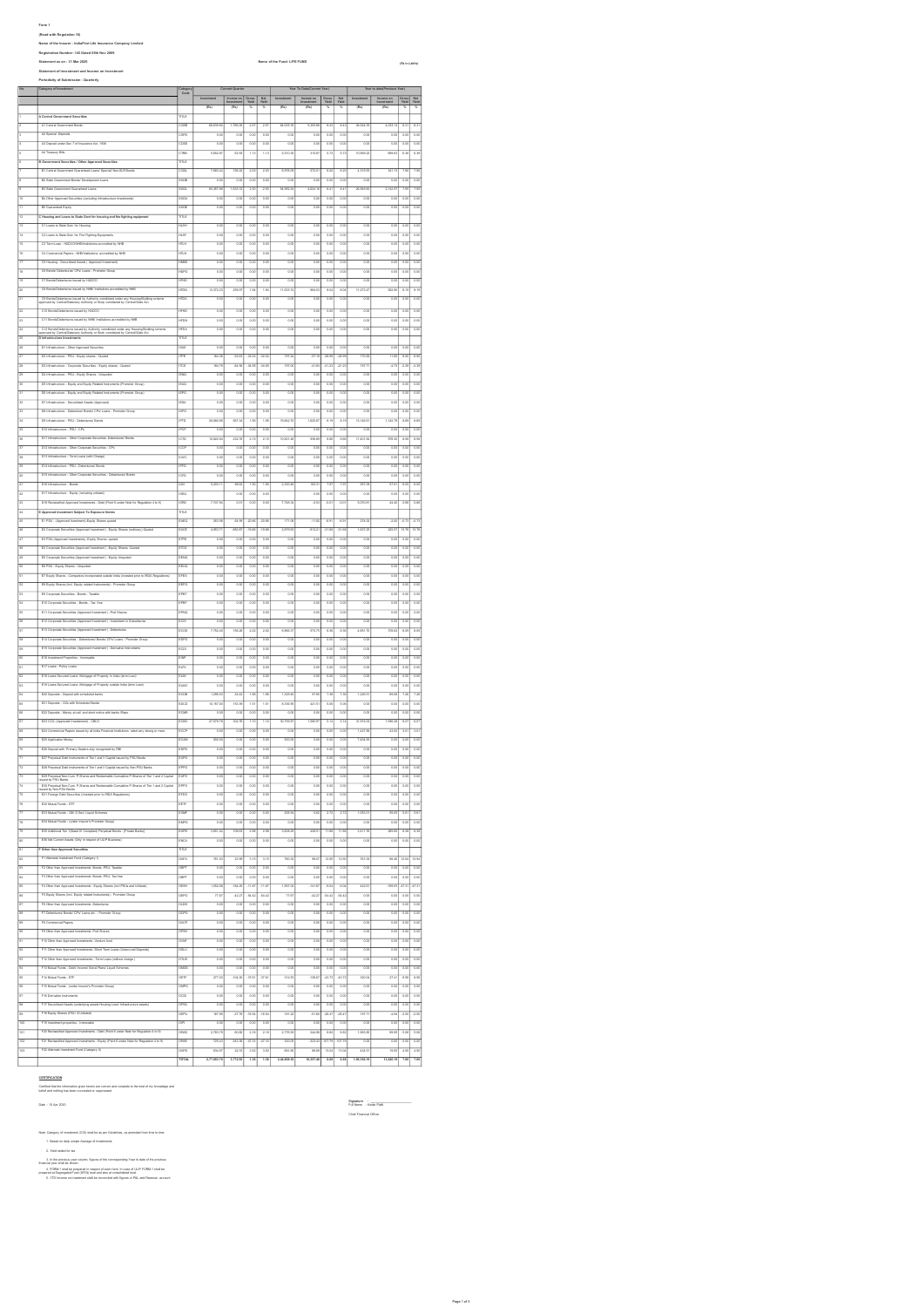Form 1.<br>Massed on Regulation: 10)<br>Massed on Regulation: 10 (San Form 2009) Limited:<br>Statement of the 1.5 Mar 2009<br>Statement of the 1.5 Mar 2009<br>Periodicity of Substraints: Countries<br>Periodicity of Substraints: Customly<br>Per No. Category of Investment Category Code Current Quarter Year To Date(Current Year) Year to date(Previous Year) Investment Income on Gross Net Investment Income on Gross Net Investment Income on Gross Net<br>Investment Yield Yield Yield Yield Yield Yield Yield Yield Yield Yield Yield<br>
(Rs) (Rs) % % % (Rs) % % % 1 - Central Government Securities<br>
1 - A L'Ondox Covernment Bonds<br>
1 - COSB Covernment Bonds<br>
2 - COSB Covernment Bonds<br>
2 - COSB Covernment Bonds<br>
2 - COSB Covernment Bonds<br>
2 - COSB Covernment Bonds<br>
2 - COSB Covernment 2 A1 Central Government Bonds CGSB 68,639.82 1,766.06 2.57 2.57 64,005.16 5,393.88 8.43 8.43 48,524.35 4,033.14 8.31 8.31 3 A2 Special Deposits CSPD 0.00 0.00 0.00 0.00 0.00 0.00 0.00 0.00 0.00 0.00 0.00 0.00 4 A3 Deposit under Sec 7 of Insurance Act, 1938 CDSS 0.00 0.00 0.00 0.00 0.00 0.00 0.00 0.00 0.00 0.00 0.00 0.00 5 A4 Treasury Bills CTRB 5,652.87 63.93 1.13 1.13 5,510.30 315.87 5.73 5.73 10,969.22 699.63 6.38 6.38 For operations and the University Association of the Magnetics of the Magnetics of the Magnetics of the Magnetics of the Magnetics of the Magnetics of the Magnetics of the Magnetics of the Magnetics of the Magnetics of the 7 B1 Central Government Guaranteed Loans/ Special/ Non-SLR Bonds CGSL 7,683.44 156.22 2.03 2.03 6,978.09 572.01 8.20 8.20 4,319.53 341.13 7.90 7.90 8 B2 State Government Bonds/ Development Loans SGGB 0.00 0.00 0.00 0.00 0.00 0.00 0.00 0.00 0.00 0.00 0.00 0.00 9 B3 State Government Guaranteed Loans SGGL 65,367.89 1,633.33 2.50 2.50 54,982.54 4,624.16 8.41 8.41 26,949.82 2,142.97 7.95 7.95 10 B4 Other Approved Securities (excluding Infrastructure Investments) SGOA 0.00 0.00 0.00 0.00 0.00 0.00 0.00 0.00 0.00 0.00 0.00 0.00 11 B5 Guaranteed Equity SGGE 0.00 0.00 0.00 0.00 0.00 0.00 0.00 0.00 0.00 0.00 0.00 0.00 13 C1 Loans to State Govt. for Housing HLSH 0.00 0.00 0.00 0.00 0.00 0.00 0.00 0.00 0.00 0.00 0.00 0.00 12 C Housing and Loans to State Govt for housing and fire fighting equipment TITLE<br>Til Loans to State Govt for Housing and fire fighting equipment -<br>14 Casara to State Govt. for Fire Fighting Equipments Hassen<br>13 Term Loan - MLDCCOMMUNING 0.000 secondised by NMB 15 C3 Term Loan - HUDCO/NHB/Institutions accredited by NHB HTLH 0.00 0.00 0.00 0.00 0.00 0.00 0.00 0.00 0.00 0.00 0.00 0.00 16 C4 Commercial Papers - NHB/Institutions accredited by NHB HTLN 0.00 0.00 0.00 0.00 0.00 0.00 0.00 0.00 0.00 0.00 0.00 0.00 17 C5 Housing - Securitised Assets ( Approved Investment) HMBS 0.00 0.00 0.00 0.00 0.00 0.00 0.00 0.00 0.00 0.00 0.00 0.00 18 C6 Bonds/ Debentures/ CPs/ Loans - Promotor Group HDPG 0.00 0.00 0.00 0.00 0.00 0.00 0.00 0.00 0.00 0.00 0.00 0.00 19 C7 Bonds/Debentures issued by HUDCO HTHD 0.00 0.00 0.00 0.00 0.00 0.00 0.00 0.00 0.00 0.00 0.00 0.00 20 C8 Bonds/Debentures issued by NHB/ Institutions accredited by NHB HTDN 13,372.23 259.97 1.94 1.94 11,003.74 884.53 8.04 8.04 11,273.47 922.90 8.19 8.19 21 Chandrom March Montgom Constant desceny provincialistic process constant of the constant of the constant of the constant of the constant of the constant of the constant of the constant of the constant of the constant HTDA 0.00 0.00 0.00 0.00 0.00 0.00 0.00 0.00 0.00 0.00 0.00 0.00 C12 Bonds/Debentures issued by Authority constituted under any Housing/Building scheme | INTOA<br>| approved by Central/State/any Authority or Body constituted by Central/State Act.<br>| 25 D Infrastructure Investments HFDA 0.00 0.00 0.00 0.00 0.00 0.00 0.00 0.00 0.00 0.00 0.00 0.00 28 D3 Infrastructure - Corporate Securities - Corporate Securities - Corporate Securities - Corporate Securities - Equity shares - Corporate Corporations - 2013 - 2013 - 2013 - 2013 - 2013 - 2013 - 2013 - 2013 - 2013 - 20 26 D1 Infrastructure - Other Approved Securities ISAS 0.00 0.00 0.00 0.00 0.00 0.00 0.00 0.00 0.00 0.00 0.00 0.00 27 D2 Infrastructure - PSU - Equity shares - Quoted ITPE 164.36 -52.63 -32.02 -32.02 197.24 -57.18 -28.99 -28.99 170.92 11.80 6.90 6.90 29 D4 htmanhuclave-P5U-Equity Sharee-Unqualed<br>29 D5 htmanhuclave-Equity and Equity Palabed Indexmande(Phonolave Coup) (EUC) 0.00 0.00 0.00 0.00 0.00 0.00 0.<br>29 D5 htmanhuclave-Equity and Equity Palabed Indexmande (Phonola 31 D6 Infrastructure - Equity and Equity Related Instruments (Promoter Group) IEPG 0.00 0.00 0.00 0.00 0.00 0.00 0.00 0.00 0.00 0.00 0.00 0.00 32 D7 Infrastructure - Securitised Assets (Approved) IESA 0.00 0.00 0.00 0.00 0.00 0.00 0.00 0.00 0.00 0.00 0.00 0.00 33 D8 Infrastructure - Debenture/ Bonds/ CPs/ Loans - Promoter Group IDPG 0.00 0.00 0.00 0.00 0.00 0.00 0.00 0.00 0.00 0.00 0.00 0.00 34 D9 Infrastructure - PSU - Debentures/ Bonds IPTD 29,080.95 567.34 1.95 1.95 19,842.70 1,625.87 8.19 8.19 13,146.61 1,142.79 8.69 8.69

35 D10 Infrastructure - PSU - CPs IPCP 0.00 0.00 0.00 0.00 0.00 0.00 0.00 0.00 0.00 0.00 0.00 0.00 36 D11 Infrastructure - Other Corporate Securities- Debentures/ Bonds ICTD 10,822.94 232.78 2.15 2.15 10,821.48 936.89 8.66 8.66 11,401.84 978.30 8.58 8.58 37 D12 Infrastructure - Other Corporations - Other Corporations - Other Corporations - Other Corporations - Other Corporations - Other Corporations - Other Corporations - Other Corporations - CPs ICCP 0.000 0.000 0.000 0. 14 COM-minuter-1en-Lance(veChange) | Lanc | cao | cao | cao | cao | cao | cao | cao | cao | cao | cao | cao<br>| Columbiandou--1992--20-abademizada<br>| Columbiandou---1992-Condensuration-20-abademizada | Cao | cao | cao | cao ti Chimim-and-an-Emonia<br>- Chimim-and-an-Emony Industry and and the South of South Mac (So Emony 2012) 2012 - 2013<br>- Chimim-and-an-Emony and Dan-Emony Andreas (DCD) - 2014 - 2015 - 2012 - 2013 - 2013 - 2013 - 2013 - 2013 -44 E*Approved Investment Subject To Exposure Norms*<br>45 E1 PSU-(Ap*proved* Investment)-Equity Shares quoted EAEQ 263.58 -54.928 -54.99 -20.928 -20.998 -11.081 -6.91 -6.91 -0.73 -0.73 -6.73 -0.73 -0.73 -0.73 -0.73 -0.73 -0. 46 E2 Corporate Securities (Approved Investment ) -Equity Shares (ordinary)-Quoted EACE 4,953.71 -983.87 -19.86 -19.86 2,879.63 -912.21 -31.68 -31.68 1,637.25 225.57 13.78 13.78 47 E3 PSU-(Approved Investments) -Equity Shares -quoted ETPE 0.00 0.00 0.00 0.00 0.00 0.00 0.00 0.00 0.00 0.00 0.00 0.00 4<br>4 E4 Corporate Securities (Approved Investment ) -Equity Shares -Quoted ETCE<br>0.000 0.000 0.000 0.000 0.000 0.000 0.000 0.000 0.000 0.000 0.000 0.000 0.000 0.000 0.000 0.000 0.000 0.000 0. 49 E5 Corporate Securities (Approved Investment ) -Equity Unquoted EENQ 0.00 0.00 0.00 0.00 0.00 0.00 0.00 0.00 0.00 0.00 0.00 0.00 50 E6 PSU - Equity Shares - Unquoted EEUQ 0.00 0.00 0.00 0.00 0.00 0.00 0.00 0.00 0.00 0.00 0.00 0.00 51 E7 Equity Shares - Companies incorporated outside India (invested prior to IRDA Regulations) EFES 0.00 0.00 0.00 0.00 0.00 0.00 0.00 0.00 0.00 0.00 0.00 0.00 52 E8 Equity Shares (incl. Equity related Instruments) - Promoter Group EEPG 0.00 0.00 0.00 0.00 0.00 0.00 0.00 0.00 0.00 0.00 0.00 0.00 53 E9 Corporate Securities - Bonds - Taxable EPBT 0.00 0.00 0.00 0.00 0.00 0.00 0.00 0.00 0.00 0.00 0.00 0.00 54 E10 Corporate Securities - Bonds - Tax free EPBF 0.00 0.00 0.00 0.00 0.00 0.00 0.00 0.00 0.00 0.00 0.00 0.00 55 E11 Corporate Securities (Approved Investment ) -Pref Shares EPNQ 0.00 0.00 0.00 0.00 0.00 0.00 0.00 0.00 0.00 0.00 0.00 0.00 56 E12 Corporate Securities (Approved Investment ) -Investment in Subsidiaries ECIS 0.00 0.00 0.00 0.00 0.00 0.00 0.00 0.00 0.00 0.00 0.00 0.00 57 E13 Corporate Securities (Approved Investment ) -Debentures ECOS 7,752.45 156.28 2.02 2.02 6,866.37 573.75 8.36 8.36 4,681.70 378.62 8.09 8.09 .<br>14 Corporate Securities - Debentures/ Bonds/ CPs/ Loans - Promoter Group .<br>. s<br>59 Ensember – Derivative (Approved Instrument ) - Derivative Instruments ensemb 60 E16 Investment Properties - Immovable EINP 0.000 0.000 0.000 0.000 0.000 0.000 0.000 0.000 0.000 0.000 0.00<br>EEE Secretaries - Elementies - Ammorable our Damas - Policy Loans<br>- E17 Loans Second Loans - Rotograp of Property in India (Nemt Loan)<br>- E18 Loans Second Loans - Rotograp of Property autoids India (Nemt Loan)<br>- E19 Loans Second Loans - Rotograp of Property autoid e etsua-Sourcium atungura-transportantiame (un segne de la compositor) de la compositor de la compositor de la<br>19 et de la compositor de la compositor de la compositor de la compositor de la compositor de la compositor d<br> 66 E22 Deposits - Money at call and short notice with banks /Repo ECMR 0.00 0.00 0.00 0.00 0.00 0.00 0.00 0.00 0.00 0.00 0.00 0.00 67 E23 CCIL (Approved Investment) - CBLO ECBO 27,578.78 302.76 1.10 1.10 30,755.87 1,10 1.10 30,755.87 1,100 6.07 6.07 6.14 5.14 31,916.02<br>- Comparing Democration and the Economic Indianation and and announce of the compa  $\frac{1}{2}$  E24 Commercial Papers is understanding the more ECCP of the Commercial Papers is the commercial Papers is the more extended the more extended the more ECCP of the Commercial Papers is the commercial Institution 69 E25 Application Money ECAM 500.00 0.00 0.00 0.00 500.00 0.00 0.00 0.00 7,454.83 0.00 0.00 0.00  $\frac{127}{7} \hbox{ The final form of the model of the model, the model of the model, the model of the model, the model of the model, the model of the model, the model of the model, the model of the model, the model of the model, the model of the model, the model of the model, the model of the model, the model of the model, the model of the model, the model of the model, the model of the model, the model of the model, the model of the model, the model of the model, the model of the model, the model of the model, the model of the model, the model of the model, the model of the model, the model of the model, the model of the model, the model of the model, the model of the model, the model of the model, the model of the model, the model of the model, the model of the model, the model of the model, the model of the model, the model of the model$ EUPS 0.00 0.00 0.00 0.00 0.00 0.00 0.00 0.00 0.00 0.00 0.00 0.00 EPPS 0.00 0.00 0.00 0.00 0.00 0.00 0.00 0.00 0.00 0.00 0.00 0.00 2009 | 2009 | 2009 | 2009 | 2009 | 2009 | 2009 | 2009 | 2009 | 2009 | 2009 | 2009 | 2009 | 2009 | 2009 | 2009<br>2012 | Andre Mutual Funds - (under Funds - Company | 2009 | 2009 | 2009 | 2009 | 2009 | 2009 | 2009 | 2009 | 2<br> 79 E35 Additional The 1(Basel III Complete) Perpetual Bonds - [Private Banks]<br>2015 Additional The 1/Banks | Perpetual Bonds - [Private Banks] 2.98 3.98 3.98 2.98 2.98 3,608.25 4.385 8.38 8<br>2015 Marcel Perpetual Additional 80 E36 Net Current Assets (Only in respect of ULIP Business) ENCA 0.000 0.000 0.000 0.000 0.000 0.000 0.000 0.000 0.000 0.000 0.000 0.000 0.000 0.000 0.000 0.000 0.000 0.000 0.000 0.000 0.000 0.000 0.000 0.000 0.000 0.000 581 B F Other than Approved Securities Titles<br>81 F Otherwich Incordered Titles Titles Titles 요 (?)Amenab.manufor(change) (2014) (2014) (2014) (2014) (3015) (3015) (3015) (3015) (3015) (3015) (3015) (3015) (3015) (3015) (3015) (3015) (3015) (3015) (3015) (3015) (3015) (3015) (3015) (3015) (3015) (3015) (3015) (3 86 F5 Equity Shares (incl. Equity related Instruments) - Promoter Group OEPG 77.67 -42.27 -54.42 -54.42 77.67 -42.27 -54.42 -54.42 0.00 0.00 0.00 0.00  $\begin{array}{|c|cccc|} \hline \textbf{87.04} & \textbf{19.04} & \textbf{19.04} & \textbf{19.04} & \textbf{19.04} & \textbf{19.04} & \textbf{19.04} & \textbf{19.04} & \textbf{19.04} & \textbf{19.04} & \textbf{19.04} & \textbf{19.04} & \textbf{19.04} & \textbf{19.04} & \textbf{19.04} & \textbf{19.04} & \textbf{19.04} & \textbf{19.04} & \textbf{19.0$ 88 F7 Debentures/ Bonds/ CPs/ Loans etc. - Promoter Group<br>88 F7 Debentures/ Bonds/ CPs/ Loans etc. - Promoter Group<br>88 Former Le Bonds - Promoter Group ODPG 0.000 0.000 0.000 0.000 0.000 0.000 0.000 0.000 0.000 0.000 0.000 89 F8 Commercial Papers OACP 0.00 0.00 0.00 0.00 0.00 0.00 0.00 0.00 0.00 0.00 0.00 0.00 90 F9 Other than Approved Investments -Pref Shares OPSH 0.00 0.00 0.00 0.00 0.00 0.00 0.00 0.00 0.00 0.00 0.00 0.00 91 F10 Other than Approved Investments -Venture fund OVNF 0.000 0.000 0.000 0.000 0.000 0.000 0.000 0.000 0.000 0.000 0.000 0.000 0.000 0.000 0.000 0.000 0.000 0.000 0.000 0.000 0.000 0.000 0.000 0.000 0.000 0.000 0.000 0. 92 F11 Other than Approved Investments -Short Trem Loans (Unsecured Deposits) OSLU 0.00 0.00 0.00 0.00 0.00 0.00 0.00 0.00 0.00 0.00 0.00 0.00 93 F12 Other than Approved Investments - Term Loans (without charge ) OTLW 0.00 0.00 0.00 0.00 0.00 0.00 0.00 0.00 0.00 0.00 0.00 0.00 94 F13 Mutual Funds - Debt/ Income/ Serial Plans/ Liquid Schemes OMGS 0.00 0.00 0.00 0.00 0.00 0.00 0.00 0.00 0.00 0.00 0.00 0.00 95 F14 Mutual Funds - ETF OETF 277.03 -104.20 -37.61 -37.61 312.53 -136.67 -43.73 -43.73 320.04 27.41 8.56 8.56 96 F15 Mutual Funds - (under Insurer's Promoter Group) OMPG 0.00 0.00 0.00 0.00 0.00 0.00 0.00 0.00 0.00 0.00 0.00 0.00 97 F16 Derivative Instruments OCDI 0.00 0.00 0.00 0.00 0.00 0.00 0.00 0.00 0.00 0.00 0.00 0.00 98 F17 Securitised Assets (underlying assets Housing Loan/ Infrastructure assets) OPSA 0.00 0.00 0.00 0.00 0.00 0.00 0.00 0.00 0.00 0.00 0.00 0.00

99 F18 Equity Shares (PSU \$ Unlisted) OEPU 167.95 -27.78 -16.54 -16.54 181.22 -51.60 -28.47 -28.47 197.71 -4.94 -2.50 -2.50 100 F19 Investment properties - Immovable OIPI 0.00 0.00 0.00 0.00 0.00 0.00 0.00 0.00 0.00 0.00 0.00 0.00 101 F20 Reclassified Approved Investments - Debt (Point 6 under Note for Regulation 4 to 9) ORAD 2,783.79 60.80 2.18 2.18 2,776.93 244.98 8.82 8.82 1,965.85 99.95 5.08 5.08 102 F21 Reclassified Approved Investments - Equity (Point 6 under Note for Regulation 4 to 9) ORAE 725.43 -343.36 -47.33 -47.33 300.05 -323.43 -107.79 -107.79 0.00 0.00 0.00 0.00 103 F22 Alternate Investment Fund (Category II) OAFB 634.57 22.33 3.52 3.52 681.60 88.89 13.04 13.04 434.51 19.55 4.50 4.50 TOTAL 2,77,053.70 3,772.93 1.36 1.36 2,44,898.52 16,357.46 6.68 6.68 1,90,166.19 13,426.19 7.06 7.06

## CERTIFICATION

Signature : \_\_\_\_\_\_\_\_\_\_\_\_\_\_\_\_\_\_\_\_\_\_ Date : 10 Apr 2020 Full Name : Kedar Patki

.<br>Note: CCII) shall be as per Guidelines, as amended from time to time to time to time to time to time to time t

Certified that the information given herein are correct and complete to the best of my knowledge and belief and nothing has been concealed or suppressed

1. Based on daily simple Average of Investments 2. Yield netted for tax

3. In the previous year column, figures of the corresponding Year to date of the previous financial year shall be shown.

4. FCRM-1 shall be prepared in respect of each fund. In case of ULIP FCRM-1 shall be<br>prepared at Segregated Fund (SFM) level and also at consolidated level.<br>5. YTO Incomes on investment shall be reconciled with floures in

Chief Financial Officer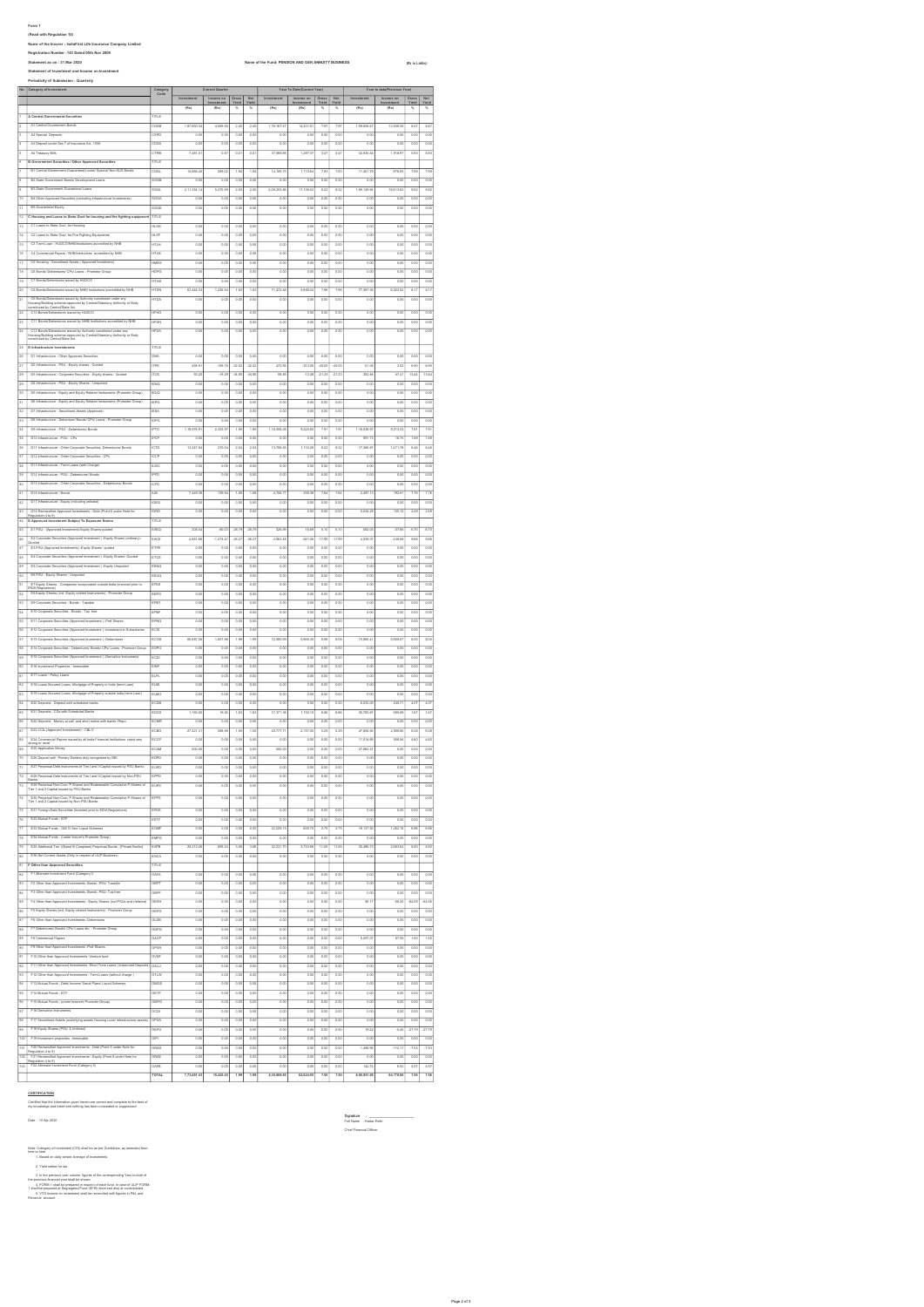From 1 Applements to the ABS and the Control of the Control of the Control of the Control of the Control of the Control of the Control of the Control of the Control of the Control of the Control of the Control of the Cont 12 C Housing and Loans to State Govt for housing and fire fighting equipment TITLE Category Current Quarter Year To Date(Current Year) Year to date(Previous Year)<br>Code

|                          | <b>B2 State Go</b>                                                                                                                                                                  |                         | 0.00                | 0.00                | 0.00               | 0.00                      | 0.00                | 0.01              | 0.00               | 0.00               | 0.00                      | 0.00               | 0.00              | 0.00               |
|--------------------------|-------------------------------------------------------------------------------------------------------------------------------------------------------------------------------------|-------------------------|---------------------|---------------------|--------------------|---------------------------|---------------------|-------------------|--------------------|--------------------|---------------------------|--------------------|-------------------|--------------------|
| 5                        | <b>B3 State Government Guarante</b><br>ed Los                                                                                                                                       | <b>SGGL</b>             | 2.11.354.14         | 5.275.8             | 250                | 2.50                      | 2.08.203.88         | 17.108.00         | 8.22               | 8.22               | 1.00.140.94               | 16.613.62          | 2.82              | 282                |
| $\frac{1}{10}$           | B4 Other Approved Securities (excluding Infrastructure Investme                                                                                                                     | <b>SGOA</b>             | $\overline{\circ}$  | $\overline{\circ}$  | 0.00               | 0.00                      | $\overline{a}$      | 0.00              | 0.05               | 0.00               | 0.00                      | 0.00               | $\overline{ac}$   | $\overline{\circ}$ |
| $\frac{1}{11}$           | <b>B5 Guaranteed Equity</b>                                                                                                                                                         | soce                    | 0.00                | 0.00                | 0.00               | 0.00                      | 0.00                | 0.00              | 0.00               | 0.00               | 0.00                      | 0.00               | 0.00              | 0.00               |
| $\frac{1}{12}$           | C Housing and Loans to State Govt for housing and fire fighting equipment                                                                                                           | TITLE                   |                     |                     |                    |                           |                     |                   |                    |                    |                           |                    |                   |                    |
| 13                       |                                                                                                                                                                                     |                         |                     |                     |                    |                           |                     |                   |                    |                    |                           |                    |                   | $\overline{0.00}$  |
|                          | C1 Loans to State Gost for Housing                                                                                                                                                  | <b>HLSH</b>             | 0.00                | 0.00                | 0.00               | 0.00                      | 0.00                | 0.00              | 0.00               | 0.00               | 0.00                      | 0.00               | 0.00              |                    |
| 14                       | C2 Loans to State Govt for Fire Fighting Equipments                                                                                                                                 | <b>HLSF</b>             | $\overline{0.00}$   | 0.00                | 0.00               | 0.00                      | 0.00                | 0.00              | 0.00               | 0.00               | 0.00                      | 0.00               | $rac{1}{2}$       | $\overline{\circ}$ |
| 15                       | C3 Term Loan - HUDCONHS/Institutions accredited by NHB                                                                                                                              | HTLH                    | o.or                | 0.00                | 0.00               | 0.00                      | 0.00                | 0.00              | 0.00               | 0.00               | 0.00                      | 0.00               | 0.00              | 0.00               |
| 16                       | C4 Commercial Papers - NHB/Institutions accredited by NHB                                                                                                                           | <b>HTLN</b>             | $\overline{\circ}$  | 0.0                 | 0.0                | 0.00                      | $\overline{0.01}$   | 0.01              | 0.00               | 0.0                | 0.00                      | 0.0                | 0.01              | 0.00               |
| 17                       | C5 Housing - Securitis<br>afa ( Approved Inv                                                                                                                                        | HMBS                    | $\overline{\circ}$  | 0.00                | 0.00               | 0.00                      | 0.01                | 0.01              | 0.00               | 0.05               | 0.00                      | 0.01               | 0.00              | 0.00               |
| 18                       | C6 Bo<br>da/ Debenturea/ CPs/ Loans - Pr                                                                                                                                            | HDPG                    | 0.0                 | 0.00                | 0.00               | 0.00                      | $\overline{a}$      | 0 <sup>o</sup>    | 0.05               | 0.0                | 0.00                      | 0.0                | 0.00              | 0.00               |
| 19                       | $cr$ B<br>d by HUDOG                                                                                                                                                                | <b>HTHD</b>             | $\overline{a}$      | $\overline{\alpha}$ | 0.0                | 0.0                       | $\overline{\alpha}$ | $\overline{0}$    | $\overline{0}$     | o.c                | $\overline{0.0}$          |                    | $\overline{a}$    | 0.00               |
| 20                       | C8 Bonds/Debenfores issued by NHB/ Institutions accr                                                                                                                                |                         |                     |                     |                    |                           |                     |                   |                    |                    |                           |                    |                   |                    |
|                          |                                                                                                                                                                                     | HTDN                    | 67,444.3            | 1,236.5             | 18                 | 1.83                      | 71,472.4            | 5,689.3           | 7.95               | 7.51               | 77,357.30                 | 6,323.5            | 8.17              | 8.17               |
| 21                       | CDB<br>ed by Authority constituted under any<br>proved by Central/Statelery Authority or Body                                                                                       | <b>ITDA</b>             | 0.O                 | 0.00                | 0.0                | 0.0                       | 0.01                | 0.01              | 0.0                | 0.00               | 0.00                      | 0.0                | 0.00              | 0.00               |
| 22                       | Housing/Building scheme approv<br>constituted by Central/State Act.<br>C10 Bonda/Debentures issued by HUDCO                                                                         | <b>HFHD</b>             | 0.0                 | 0.00                | 0.0                | 0.0                       | 0.0                 | 0.01              | 0.0                | $\overline{00}$    | 0.0                       | 0.0                | 0.01              | 0.00               |
| 23                       | C11 Bonda/Debentures issued by NHS/ Institutions accredited by NHS                                                                                                                  |                         |                     |                     |                    |                           |                     |                   |                    |                    |                           |                    |                   |                    |
|                          |                                                                                                                                                                                     | <b>HFDN</b>             | $\overline{\circ}$  | $\overline{0.08}$   | 0.00               | $\overline{\circ}$        | $\overline{a}$      | $\overline{0.08}$ | 0.05               | $\overline{0.00}$  | 0.08                      | 0.00               | 0.00              | $\overline{\circ}$ |
| 34                       | .<br>C12 Bonda/Debenhaves issued by Authority constituted under any<br>Housing/Building scheme approved by Central/State/any Authority or Body<br>constituted by Central/State Act. | HFDA                    | 0.0                 | 0.00                | 0.00               | 0.00                      | 0.00                | 0.00              | 0.00               | 0.00               | 0.00                      | 0.00               | 0.00              | 0.00               |
|                          |                                                                                                                                                                                     |                         |                     |                     |                    |                           |                     |                   |                    |                    |                           |                    |                   |                    |
| 25                       | D Infrastructure Investments                                                                                                                                                        | TITLE                   |                     |                     |                    |                           |                     |                   |                    |                    |                           |                    |                   |                    |
| 26                       | D1 Infrastructure - Other Approved Securities                                                                                                                                       | <b>ISAS</b>             | 0.00                | 0.00                | 0.00               | 0.00                      | 0.01                | 0.00              | 0.00               | 0.00               | 0.00                      | 0.00               | 0.00              | 0.00               |
| 27                       | D2 Infrastructure - PSU - Equity shares - Quoti                                                                                                                                     | mpe                     | 498.91              | $-150.75$           | 32.02              | $-32.02$                  | 472.9               | $-213.05$         | 45.05              | 45.05              | 51.05                     | 3.52               | 6.90              | 6.90               |
| 28                       | D3 Infrastructure - Corporate Securities - Equity shares - Qu                                                                                                                       | <b>ITCE</b>             | 55.2                | $-19.2$             | 34.9               | 34.95                     | 58.8                | $-12.4$           | 2123               | 212                | 352.8                     | 47.4               | 13.4              | 13.44              |
| 39                       | D4 Infrastructure - PSU - Equity Sh                                                                                                                                                 | ENO                     | 0.0                 | 0.00                | 0.00               | 0.00                      | 0.01                | 0.01              | 0.00               | 0.00               | 0.08                      | 0.01               | 0.01              | 0.00               |
| 30                       | D5 Infra                                                                                                                                                                            |                         |                     |                     |                    |                           |                     |                   |                    |                    |                           |                    |                   |                    |
|                          |                                                                                                                                                                                     | EUQ                     | 0.05                | 0.00                | 0.00               | 0.00                      | 0.00                | 0.00              | 0.05               | 0.0                | 0.00                      | 0.0                | 0.00              | 0.00               |
| 31                       | DS Infr<br>structure - Equity and Equ                                                                                                                                               | EPG                     | 0.0                 | 0.0                 | 0.0                | 0.0                       | 0.0                 | 0 <sub>0</sub>    | $\overline{0}$     | 0.0                | 0.03                      | $\alpha$           | ao                | 0.00               |
| 32                       | D7 Infrastructure - Securitised Assets (Ap                                                                                                                                          | ESA                     | 90                  | $\overline{0.00}$   | $\overline{0.0}$   | 8.                        | $\overline{a}$      | $\overline{00}$   | 99                 | 80                 | $\overline{0.00}$         | $\overline{00}$    | $rac{1}{2}$       | 8.00               |
| 33                       | D6 Info<br>re/Bonda/ CPa/ Loa                                                                                                                                                       | DPG                     | 0.0                 | 0.03                | 0.00               | 0.0                       | 0.01                | 0 <sup>o</sup>    | 0.0                | 0.0                | 0.00                      | 0.0                | 0.00              | 0.00               |
| $\overline{\mathbf{z}}$  | D9 Info<br>structure - PSU - De<br>$\overline{N}$                                                                                                                                   | PTD                     | 1.19.576.9          | 2325.9              | 1.2                | 1.2                       | 1.16.558.0          | 9.220.8           | 79                 | 79                 | 1.16.536.97               | 9.213.3            | 7.91              | 7.91               |
| $\overline{15}$          | D10 Infrastructure - PSU - CPs                                                                                                                                                      | $\overline{\text{FCF}}$ | $\overline{\circ}$  | $\overline{\circ}$  | 0.00               | $\overline{\circ \circ}$  | $\overline{a}$      | $\overline{0.08}$ | 0.05               | $\overline{\circ}$ | $\frac{1}{291.7}$         | 16.75              | $\overline{1.65}$ | $\frac{1}{100}$    |
| 36                       | D11 Infrastructure - Other Corporate Securities- Debenfures/ Bonds                                                                                                                  | істо                    | 13,247.9            | 270.0               | 2.04               | 20 <sup>o</sup>           | 13,788.53           | 1.133.2           | 8.22               | 8.22               | 17,386.87                 | 1,471.78           | 8.46              | 8.40               |
|                          | D12 Infrastructure - Other Corporate Securities - CPs                                                                                                                               |                         |                     |                     |                    |                           |                     |                   |                    |                    |                           |                    |                   |                    |
| 37                       |                                                                                                                                                                                     | ICCP                    | 0.0                 | 0.00                | 0.00               | 0.00                      | 0.00                | 0.00              | 0.00               | 0.00               | 0.00                      | 0.00               | 0.00              | 0.00               |
| 38                       | D13 Infrastructure - Term Loans (with Charge)                                                                                                                                       | <b>LWC</b>              | 0.0                 | 0.00                | 0.00               | 0.00                      | 0.00                | 0.00              | 0.00               | 0.00               | 0.00                      | 0.00               | 0.00              | $\overline{0.00}$  |
| 30                       | D14 Infrastructure - PSU - Deben                                                                                                                                                    | IPFD                    | $\overline{0.00}$   | 0.00                | 0.00               | 0.00                      | 0.00                | 0.00              | 0.00               | 0.00               | 0.00                      | 0.01               | 0.00              | $\overline{0.00}$  |
| 40                       | D15 lef                                                                                                                                                                             | <b>ICFD</b>             | 0.00                | 0.00                | 0.00               | 0.00                      | 0.00                | 0.00              | 0.00               | 0.00               | 0.00                      | 0.00               | 0.00              | 0.00               |
| q                        | D16 Infrastructure - B                                                                                                                                                              | πs                      | 7,442.3             | 139.9               | 1.88               | $\overline{1.55}$         | 4,706.7             | 352.3             | 75                 | 7.64               | 2,487.13                  | 192.9              | 7.70              | 7.76               |
| 42                       | D17 Infrastructure - Equity (including u                                                                                                                                            | iceo                    | $\overline{\circ}$  | 0.08                | 0.00               | $\overline{\circ \alpha}$ | 0.01                | $\overline{0.00}$ | 0.00               | $\overline{0.00}$  | 0.00                      | 0.01               | $rac{1}{2}$       |                    |
|                          |                                                                                                                                                                                     |                         |                     |                     |                    |                           |                     |                   |                    |                    |                           |                    |                   | 0.00               |
| 43                       | D18 Reclassified Approved Investments - Debt (Point 6 under No.<br>$-4102$                                                                                                          | IORD                    | 0.00                | 0.00                | 0.00               | 0.00                      | 0.00                | 0.00              | 0.00               | 0.00               | 5,034.2                   | 125.12             | 245               | 242                |
| u.                       | E Approved Investment Subject To Expo                                                                                                                                               | TITLE                   |                     |                     |                    |                           |                     |                   |                    |                    |                           |                    |                   |                    |
| 45                       | E1 PSU - (Approved Investment)-Equity Shares quoted                                                                                                                                 | EAEO                    | 208.5               | $rac{1}{1}$         | 28.7               | 28.75                     | 326.95              | 16.62             | 5.10               | 5.10               | 562.0                     | 37.61              | 470               | -6.70              |
| 46                       | E2 Corporate Securities (Approved Inv<br>nerf ) -Equity Sh                                                                                                                          | EACE                    | 4,851.6             | $-1,274.4$          | -26.2              | $-26.21$                  | 4,583.48            | 821.06            | $-17.92$           | $-17.96$           | 4,539.3                   | 438.60             | 2 <sup>2</sup>    | 2.65               |
| q,                       | E3 PSU-(Approved Investm<br>mbs) -Equity Shanes -quot                                                                                                                               | ETPE                    | 0.00                | 0.00                | 0.00               | 0.00                      | 0.01                | 0.00              | 0.00               | 0.00               | 0.00                      | 0.00               | 0.00              | 0.00               |
| $\overline{48}$          | E4 Corporate Securities (Approved Investment ) -Equity Shares -Quoted                                                                                                               |                         |                     |                     |                    |                           |                     |                   |                    |                    |                           |                    |                   |                    |
|                          |                                                                                                                                                                                     | ETCE                    | 0.00                | 0.00                | 0.00               | 0.00                      | 0.00                | 0.00              | 0.00               | 0.00               | 0.00                      | 0.00               | 0.00              | $\overline{\circ}$ |
| 49                       | E5 Corporate Securities (Approved Investment ) -Equity Unquoted                                                                                                                     | EENO                    | 0.00                | 0.00                | 0.00               | 0.00                      | 0.00                | 0.00              | 0.00               | 0.00               | 0.00                      | 0.00               | 0.00              | 0.00               |
| 50                       | E6 PSU - Equity Shares - Unquoted                                                                                                                                                   | EEUQ                    | 0.00                | 0.00                | 0.00               | 0.00                      | 0.00                | 0.00              | 0.00               | 0.00               | 0.00                      | 0.00               | 0.00              | 0.00               |
| 51.                      | E7 Equity Shares - Companies incorporated outside India (invested prior to                                                                                                          | EFES                    | 0.00                | 0.00                | 0.00               | 0.00                      | 0.00                | 0.00              | 0.00               | 0.00               | 0.00                      | 0.00               | 0.00              | 0.00               |
| 52                       | <b>FIDA Regulations)</b><br>E8 Equity Shares (incl. Equity rel<br>strumenta) - Pr                                                                                                   | EEPG                    | 0.00                | 0.00                | 0.00               | 0.00                      | 0.00                | 0.00              | 0.00               | 0.00               | 0.00                      | 0.00               | 0.00              | 0.00               |
| 53                       | E9 Corporate Securities - Bonds - Taxa                                                                                                                                              | EPBT                    | 0.D                 | 0.0                 | 0.0                | 0.00                      | 0.01                | 0.01              | 0.0                | 0.0                | 0.00                      | 0.0                | 0.0               | 0.00               |
| 54                       |                                                                                                                                                                                     | EPBF                    | $\overline{\circ}$  | 0.00                |                    |                           | 0.01                | 0.01              |                    |                    | 0.00                      |                    | 0.01              | 0.00               |
|                          | E10 Corporate Securities - Bonda - Tax free                                                                                                                                         |                         |                     |                     | 0.00               | 0.00                      |                     |                   | 0.05               | 0.00               |                           | 0.00               |                   |                    |
| 55                       | E11 Corporate Se<br>vestment ) -Pref Sh<br>a (Appro                                                                                                                                 | EPNQ                    | 0.05                | 0.00                | 0.00               | 0.00                      | 0.01                | 0.01              | 0.05               | 0.00               | 0.00                      | 0.05               | 0.01              | 0.00               |
|                          |                                                                                                                                                                                     | ECIS                    |                     | 0.0                 | 0.00               | 0.00                      | 0.00                | 0.00              | 0.05               | 0.00               | 0.00                      | 0.0                | 0.01              | 0.00               |
| 38                       | E12 Corporate Secu<br>ia (Appro<br>et ) - kv                                                                                                                                        |                         | 0.0                 |                     |                    |                           |                     |                   |                    |                    |                           |                    |                   |                    |
| 57                       | E13 Corporate Se<br>ia (Appro<br>et ) -De                                                                                                                                           | $\frac{1}{1000}$        | 80,687.5            | 1,607.9             | 1.9                | 1.99                      | 72,580.8            | 5,888.3           | 8.0                | 8.0                | 73,850.4                  | 5,909.8            | 80                | 8.02               |
|                          | E14 Corporate Securities - Debentures/ Bonds/ CPs/ Loans - Pre                                                                                                                      | EDPO                    |                     |                     |                    |                           |                     |                   |                    |                    |                           |                    |                   |                    |
| 58                       |                                                                                                                                                                                     |                         | 0.00                | 0.01                | o.o                | $\overline{\circ \alpha}$ | $\overline{a}$      | 0.00              | 0.05               | 0.00               | 0.00                      | 0.0                | $rac{1}{2}$       | 0.00               |
| 50                       | E15 Corp<br>rities (Approved Invest                                                                                                                                                 | ECDI                    | 0.00                | 0.00                | o.o                | $\overline{\circ}$        | 0.01                | 0.01              | 0.0                | 0.00               | 0.00                      | 0.0                | 0.01              | 0.00               |
| $\overline{50}$          | E16 Investment Properties - Im                                                                                                                                                      | ENP                     | $\overline{0}$      | 0.00                | 0.00               | $\overline{\circ \alpha}$ | 0.01                | 0.01              | $\overline{\circ}$ | 0.00               | 0.00                      | 0.00               | 0.00              | 0.00               |
| 51                       | E17 Loans - Policy Loans                                                                                                                                                            | <b>ELPL</b>             | o.                  | $\overline{\circ}$  | 0.00               | $\overline{\circ}$        | 0.00                | 0.00              | 0.00               | 0.00               | 0.08                      | 0.00               | 0.00              | $\overline{0.00}$  |
| 52                       | E18 Loans Secured Loans -Mortgage of Property in India (term Loan                                                                                                                   | ELMI                    | 0.0                 | 0.00                | 0.00               | 0.00                      | 0.00                | 0.00              | 0.00               | 0.00               | 0.00                      | 0.00               | 0.00              | 0.00               |
| 53                       | E19 Loans Secured Loans -Mortgage of Property outside India (term Loan                                                                                                              | ELMO                    | 0.0                 | 0.00                | 0.00               | 0.00                      | 0.00                | 0.00              | 0.00               | 0.00               | 0.00                      | 0.00               | 0.00              | 0.00               |
|                          | E20 Deposits - Deposit with scheduled banks                                                                                                                                         |                         |                     |                     |                    |                           |                     |                   |                    |                    |                           |                    | 4.07              |                    |
| $\overline{\phantom{0}}$ |                                                                                                                                                                                     | ECDB                    | 0.00                | 0.00                | 0.00               | 0.00                      | 0.00                | 0.00              | 0.00               | 0.00               | 6,030.09                  | 245.71             |                   | 4.07               |
| 55                       | E21 Deposits - CDs with Sch                                                                                                                                                         | EDCD                    | 1,185.05            | 19.38               | 1.63               | 1.63                      | 17,371.38           | 1,192.10          | 6.86               | 6.86               | 35,755.87                 | 595.89             | 1.67              | 1.67               |
| 58                       | E22 Deposits - Money at call and short notice with banks /Repo                                                                                                                      | ECM                     | $\overline{a}$      | 0.00                | 0.00               | 0.00                      | 0.0                 | 0.01              | 0.00               | 0.01               | 0.00                      | 0.00               | 0.01              | 0.00               |
| 57                       | E23 CCL (Approved Investers<br>$m)$ - CBLO                                                                                                                                          | ECBO                    | 27,4213             | 288.95              | 1.05               | $\overline{1.05}$         | 40,777.7            | 2,157.00          | $\frac{1}{2}$      | 5.25               | 47,884.58                 | 2,909.66           | $\overline{ac}$   | 6.00               |
| :5                       | E24 Commercial Papers issued by all India Financial Institu                                                                                                                         | ECCF                    | 0.05                | 0.00                | 0.00               | 0.00                      | 0.00                | 0.00              | 0.00               | 0.00               | 11,014.80                 | 506.94             | 4.60              | 4.60               |
| 50                       |                                                                                                                                                                                     | ECAM                    | 500.0               | 0.00                | 0.0                | 0.00                      | 500.0               | 0 <sub>0</sub>    | 0.0                | 0.00               | 27,862.3                  | 0.00               | 0.00              | 6.00               |
| 70                       | trong or musik<br>E25 Application Money                                                                                                                                             | EDPD                    |                     |                     |                    |                           |                     |                   |                    |                    | $\overline{\circ \alpha}$ | $\overline{\circ}$ |                   |                    |
|                          | E26 Deposit with Primary Dealers duly recognised by RBI                                                                                                                             |                         | $\overline{\circ}$  | 0.00                | $\overline{0.00}$  | $\overline{\circ}$        | $\overline{00}$     | 0.00              | $\overline{0.05}$  | $\overline{\circ}$ |                           |                    | 0.00              | 8.00               |
| 71                       | E27 Perpetual Debt Instruments of Tier I and I Capital issued by PSU Banks                                                                                                          | EUPO                    | $\overline{\circ}$  | 0.00                | 0.0                | 0.00                      | 0.00                | 0.00              | $\overline{0.00}$  | 0.00               | 0.00                      | $\overline{0.00}$  | 0.00              | 0.00               |
| 72                       | E28 Perpetual Debt Instruments of Tier I and I Capital issued by Non-PSU<br>Banka                                                                                                   | EPPD                    | 0.O                 | 0.00                | 0.0                | 0.00                      | 0.01                | 0.01              | 0.05               | 0.00               | 0.00                      | 0.00               | 0.00              | 0.00               |
| 73                       | E29 Perpetual Non-Cum, P.Shares and Re<br>Tier 1 and 2 Capital issued by PSU Banks<br>while Correctation D. Showers of                                                              | EUPS                    | $\overline{\circ}$  | $\overline{0.00}$   | $\overline{0.00}$  | $\overline{\circ \alpha}$ | $\overline{0.01}$   | $\overline{0.01}$ | 0.00               | $\overline{\circ}$ | 0.00                      | 0.00               | $\overline{ac}$   | $\overline{0.00}$  |
|                          |                                                                                                                                                                                     |                         |                     |                     | 0.00               |                           |                     |                   | 0.00               |                    | 0.08                      |                    | 0.00              |                    |
| 74                       | E30 Perpetual Non-Cum, P.Shares and Rede<br>Tier 1 and 2 Capital issued by Non-PSU Banks                                                                                            | EPPS                    | 0.0                 | 0.00                |                    | 0.00                      | 0.01                | 0.01              |                    | 0.00               |                           | 0.01               |                   | 0.00               |
| 75                       | E31 Foreign Debt Securities (Invested prior to IRDA Regulations)                                                                                                                    | EFDS                    | 0.00                | 0.00                | 0.00               | 0.00                      | 0.00                | 0.00              | 0.00               | 0.00               | 0.00                      | 0.00               | 0.00              | 0.00               |
| 76                       | E32 Mutual Funds - ETF                                                                                                                                                              | EETF                    | 0.0                 | 0.00                | 0.00               | 0.00                      | 0.00                | 0.00              | 0.00               | 0.00               | 0.00                      | 0.00               | 0.00              | $\overline{\circ}$ |
| 77                       | ESSA                                                                                                                                                                                | EGM                     | 0.O                 | 0.00                | 0.00               | 0.00                      | 22,029.15           | 605.73            | 2.75               | 2.75               | 18,137.50                 | 1,262.16           | 6.95              | 6.95               |
|                          |                                                                                                                                                                                     |                         |                     |                     |                    |                           |                     |                   |                    |                    |                           |                    |                   |                    |
| 78                       | E34 Mutual Funds - (u<br>ier Group)                                                                                                                                                 | EMPG                    | $\overline{a}$      | 0.0                 | 0.00               | 0.0                       | 0.01                | 0.01              |                    | 0.01               | 0.00                      | 0.0                | 0.0               | 0.00               |
| 75                       | E35 Add<br>nal Tier 1(Basel II Complant) Perpetual Bonds - [Private Banks]                                                                                                          | EAPS                    | 29,212.2            | 895.2               | 3.00               | $\overline{3.00}$         | 32,231.70           | 3,722.8           | 11.55              | 11.55              | 30,496.73                 | 2,683.6            | $\overline{3.50}$ | 8.82               |
| 50                       | E35 Net Current Assets (Only in respect of ULIP Busin                                                                                                                               | <b>ENCA</b>             | $\overline{\circ}$  | 0.00                | 0.00               | $\overline{\circ \alpha}$ | $rac{1}{1}$         | 0.00              | 0.00               | 0.00               | $\overline{0.00}$         | $\overline{0.00}$  | $rac{1}{1}$       | 0.00               |
| 51                       | F Other than Approved Securities                                                                                                                                                    | TITLE                   |                     |                     |                    |                           |                     |                   |                    |                    |                           |                    |                   |                    |
| 52                       | F1 Atemate Investment Fund (Category)                                                                                                                                               |                         |                     |                     | 0.00               |                           | $\overline{0.00}$   | 0.00              |                    |                    | $\overline{\circ}$        |                    | 0.00              |                    |
|                          |                                                                                                                                                                                     | <b>OBPT</b>             | $\overline{\circ}$  | $\overline{0.00}$   |                    | $\overline{\circ}$        | $\overline{a}$      | 0.00              | $\overline{000}$   | $\overline{0.00}$  | $\overline{0.00}$         | 0.00               | 0.00              | 0.00               |
|                          | 13 F2 Other than Approved Investments -Bonds -PSU- Taxable                                                                                                                          |                         |                     |                     | 0.00               |                           |                     |                   |                    |                    |                           |                    |                   |                    |
|                          | F3 Other than Approved Investments -Bonds -PSU- Tax free                                                                                                                            | ospy                    | 0.00                | 0.00                | 0.00               | 0.00                      | 0.00                | 0.00              | 0.00               | 0.00               | 0.00                      | 0.00               | 0.00              | 0.00               |
|                          | 15 F4 Other than Approved Investments - Equity Shares (incl PSUs and Unlisted)                                                                                                      | OESH                    | 0.00                | 0.00                | 0.00               | 0.00                      | 0.00                | 0.00              | 0.00               | 0.00               | 90.17                     | $-58.20$           | -64.55            | $-64.55$           |
| $\overline{\phantom{0}}$ | F5 Equity Shares (incl. Equity related Instruments) - Promoter Group                                                                                                                | oppg                    | 0.00                | 0.00                | 0.00               | 0.00                      | 0.00                | 0.00              | 0.00               | 0.00               | 0.00                      | 0.00               | 0.00              | 0.00               |
| $\frac{1}{2}$            | F6 Other than Approved Investments -Debentures                                                                                                                                      | oups                    | 0.00                | 0.00                | 0.00               | 0.00                      | 0.00                | 0.00              | 0.00               | 0.00               | 0.00                      | 0.00               | 0.00              | 0.00               |
| 58                       | F7 Debentures/ Bonds/ CPs/ Loans etc. - Promoter Group                                                                                                                              | oppg                    | 0.00                | 0.00                | 0.00               | 0.00                      | 0.00                | 0.00              | 0.00               | 0.00               | 0.00                      | 0.00               | 0.00              | 0.00               |
|                          | F& Commercial Papers                                                                                                                                                                | GACP                    | 0.00                | 0.00                | 0.00               | 0.00                      | 0.00                | 0.00              | 0.00               | 0.00               | 5,457.07                  | 87.05              | 1.60              | 1.60               |
| 59                       |                                                                                                                                                                                     |                         |                     |                     |                    |                           |                     |                   |                    |                    |                           |                    |                   |                    |
| 30                       | F9 Other than Approved Investments -Pref Shares                                                                                                                                     | OPSH                    | 0.00                | 0.00                | 0.00               | 0.00                      | 0.00                | 0.00              | 0.00               | 0.00               | 0.00                      | 0.00               | 0.00              | 0.00               |
| PT.                      | F10 Other than Approved Investments -Venture fund                                                                                                                                   | OWI                     | 0.D                 | 0.00                | 0.00               | 0.00                      | 0.01                | 0.00              | 0.00               | 0.00               | 0.00                      | 0.00               | 0.00              | 0.00               |
| 22                       | F11 Other than Approved Investments -Short Trem Loans (Unsecured Dep                                                                                                                | ostu                    | $\overline{\circ}$  | 0.00                | 0.00               | 0.00                      | 0.00                | 0.00              | 0.00               | 0.00               | 0.00                      | 0.00               | 0.00              | 0.00               |
| 33                       | F12 Other than Approved Investments - Term Loans (without change)                                                                                                                   | OTLW                    | 0.05                | 0.00                | 0.00               | 0.00                      | 0.00                | 0.00              | 0.00               | 0.00               | 0.00                      | 0.05               | 0.00              | 0.00               |
|                          |                                                                                                                                                                                     | OMCS                    |                     |                     |                    |                           |                     |                   |                    |                    |                           |                    |                   |                    |
| ×                        | F13 Mutual Funds - Debt/ Income/ Serial Plans/ Liquid Schem                                                                                                                         |                         | 0.0                 | 0.00                | 0.00               | 0.0                       | a.c                 | 0.01              | 0.0                | 0.0                | 0.00                      | 0.0                | 0.00              | 0.00               |
| 35                       | F14 Mutual Funds - ETF                                                                                                                                                              | OETF                    | $\overline{\circ}$  | 0.00                | $\overline{\circ}$ | $\overline{\circ \alpha}$ | $\overline{a}$      | 0.01              | $\overline{\circ}$ | $\overline{0.00}$  | 0.00                      | 0.0                | $\overline{a}$    | 6.00               |
| 36                       | F15 Mutual Funds - (under Insurer's Promoter Group)                                                                                                                                 | OMPG                    | $\overline{\circ}$  | 0.00                | 0.00               | 0.00                      | 0.00                | 0.00              | 0.05               | 0.00               | 0.00                      | 0.05               | 0.00              | 0.00               |
| 97                       | F16 Derivative Instruments                                                                                                                                                          | OCDI                    | 0.00                | 0.00                | 0.00               | 0.00                      | 0.00                | 0.00              | 0.05               | 0.00               | 0.00                      | 0.00               | 0.00              | 0.00               |
| 36                       | F17 Securitised Assets (underlying assets Housing Loan/ Infrastructure assets)                                                                                                      | OPSA                    | $\overline{\circ}$  | 0.00                | 0.00               | 0.00                      | $\overline{0.00}$   | 0.00              | 0.00               | 0.00               | 0.00                      | 0.00               | 0.00              | 0.00               |
| 39.                      | F18 Equity Shares (PSU \$ Unlisted)                                                                                                                                                 | oppu                    | 0.00                | 0.00                | 0.00               | 0.00                      | 0.00                | 0.00              | 0.00               | 0.00               | 19.42                     | $-5.40$            | $-27.79$          | $-27.79$           |
| 100                      | F19 Investment properties - Immovable                                                                                                                                               | OPI                     | 0.00                | 0.00                | 0.00               |                           | 0.00                | 0.00              | 0.00               | 0.00               | 0.00                      | 0.00               | 0.00              | 0.00               |
|                          |                                                                                                                                                                                     |                         |                     |                     |                    | 0.00                      |                     |                   |                    |                    |                           |                    |                   |                    |
| 101                      | F20 Reclassified Approved Investments - Debt (Point 6 under Note for                                                                                                                | ONAD                    | 0.00                | 0.00                | 0.00               | 0.00                      | 0.00                | 0.00              | 0.00               | 0.00               | 1,488.95                  | $-112.11$          | $-7.53$           | $-7.53$            |
| 102                      | Regulation 4 to 9)<br>F21 Reclassified Approved Investments - Equity (Point 6 under Note for<br>ıg.                                                                                 | ORAE                    | 0.00                | 0.00                | 0.00               | 0.00                      | 0.00                | 0.00              | 0.00               | 0.00               | 0.00                      | 0.00               | 0.00              | 0.00               |
| 103                      | scientification<br>on 4 to 9)<br>F22 Atlantate Investment Fund (Category 1)                                                                                                         | <b>OAFB</b><br>TOTAL    | 0.00<br>7,73,691.43 | 0.00                | 0.00               | 0.00<br>1.22              | 0.00<br>8,35,069.95 | 0.00<br>62,624.55 | 0.00               | 0.00<br>7.50       | 142.74<br>8,56,951.09     | 6.52<br>64,776.00  | 4.57<br>7.56      | 4.57<br>7.50       |

CERTIFICATION<br>Certified that the information given herein are correct and complete to the best of<br>my knowledge and belief and nothing has been concealed or suppressed

Signature : .<br>Date : 10 Apr 2020 Full Name : Kedar Patki

Note: Category of investment (COI) shall be as per Guidelines, as amended from time to time 1. Based on daily simple Average of Investments 2. Yield netted for tax

3. In the previous year columns, figures of the corresponding Year to date of<br>the previous financial year shall be above.<br>4. FOCMA-1 shall be pregnaned at Segreganked Franci (SFRV) level and also at connectidated<br>at a hall

Chief Financial Officer